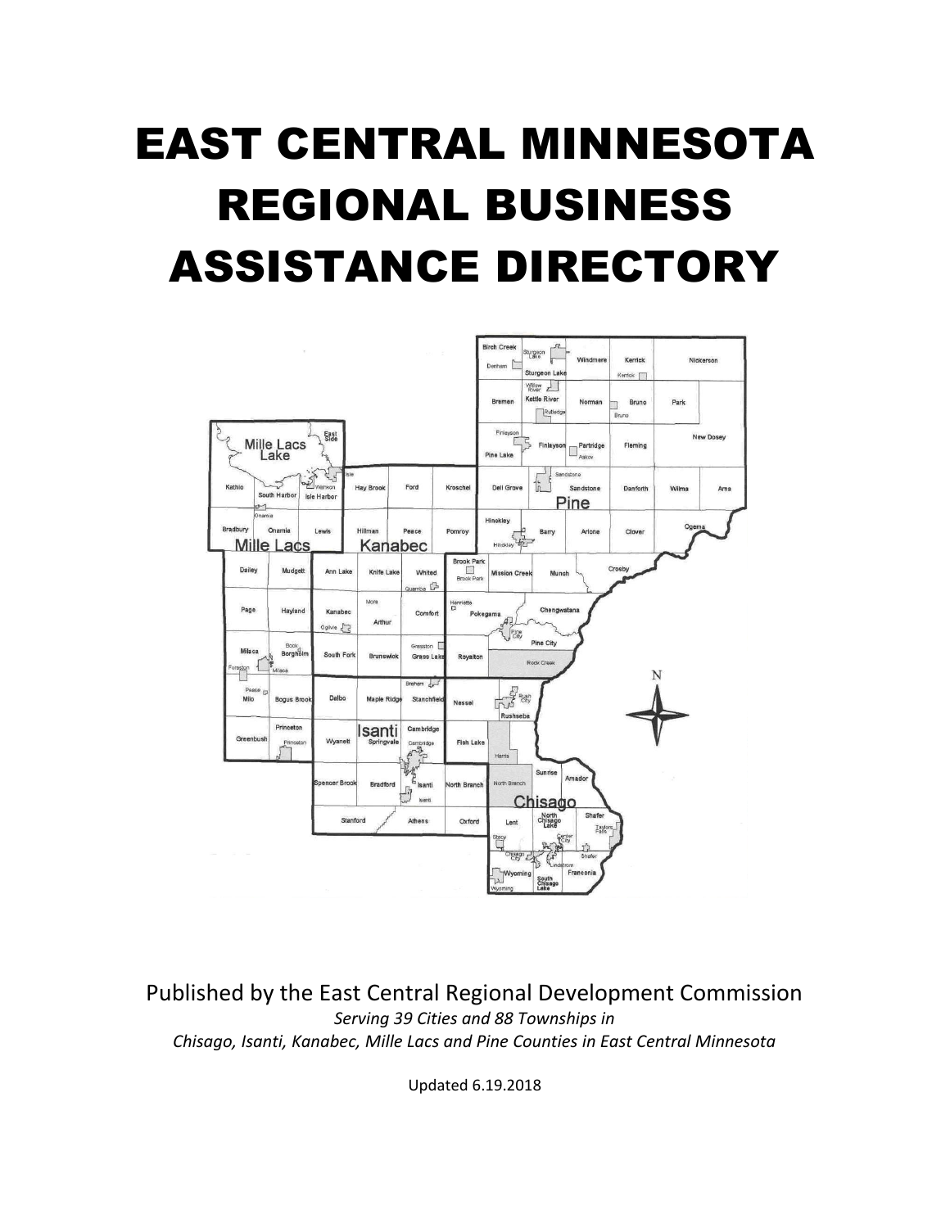# EAST CENTRAL MINNESOTA REGIONAL BUSINESS ASSISTANCE DIRECTORY



Published by the East Central Regional Development Commission *Serving 39 Cities and 88 Townships in Chisago, Isanti, Kanabec, Mille Lacs and Pine Counties in East Central Minnesota*

Updated 6.19.2018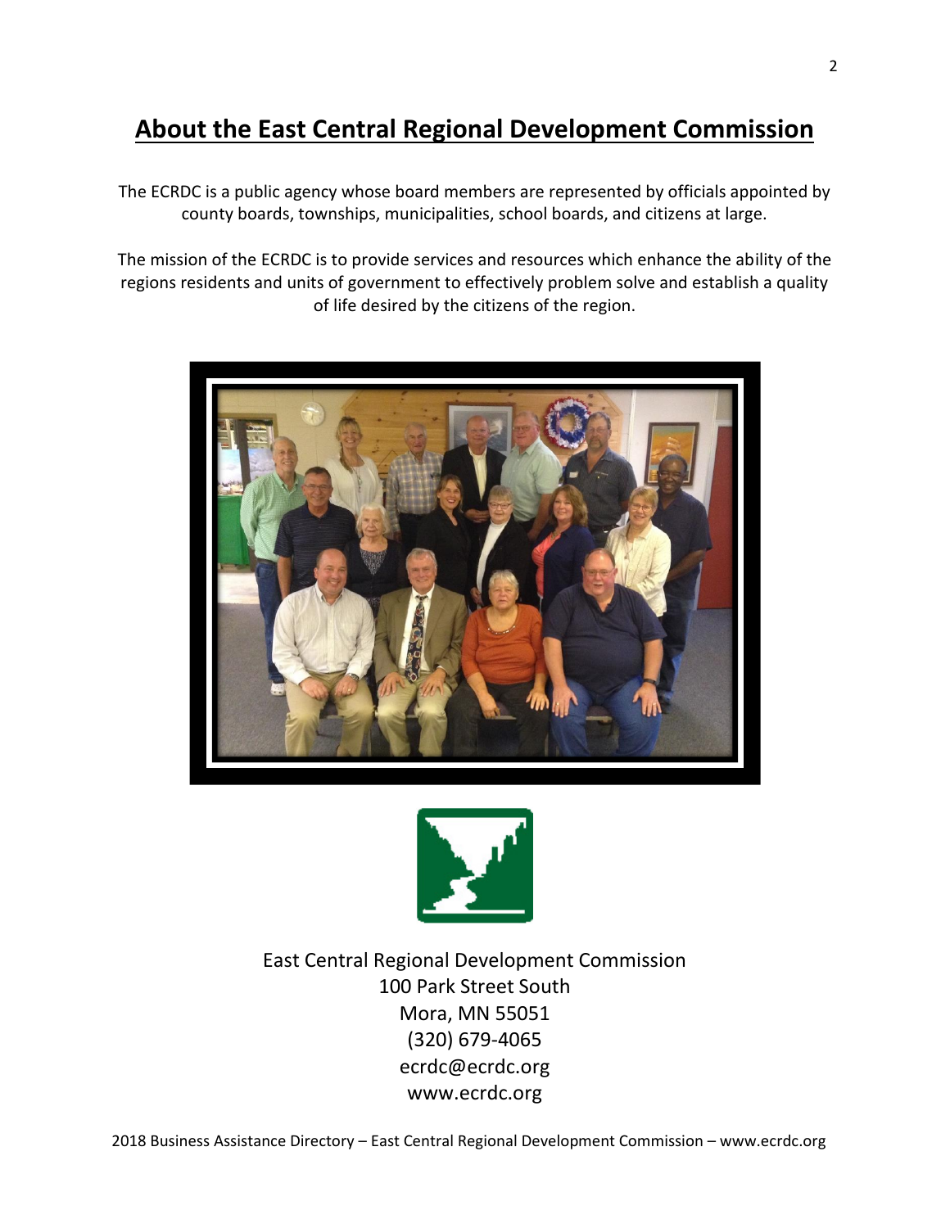# **About the East Central Regional Development Commission**

The ECRDC is a public agency whose board members are represented by officials appointed by county boards, townships, municipalities, school boards, and citizens at large.

The mission of the ECRDC is to provide services and resources which enhance the ability of the regions residents and units of government to effectively problem solve and establish a quality of life desired by the citizens of the region.





East Central Regional Development Commission 100 Park Street South Mora, MN 55051 (320) 679-4065 ecrdc@ecrdc.org www.ecrdc.org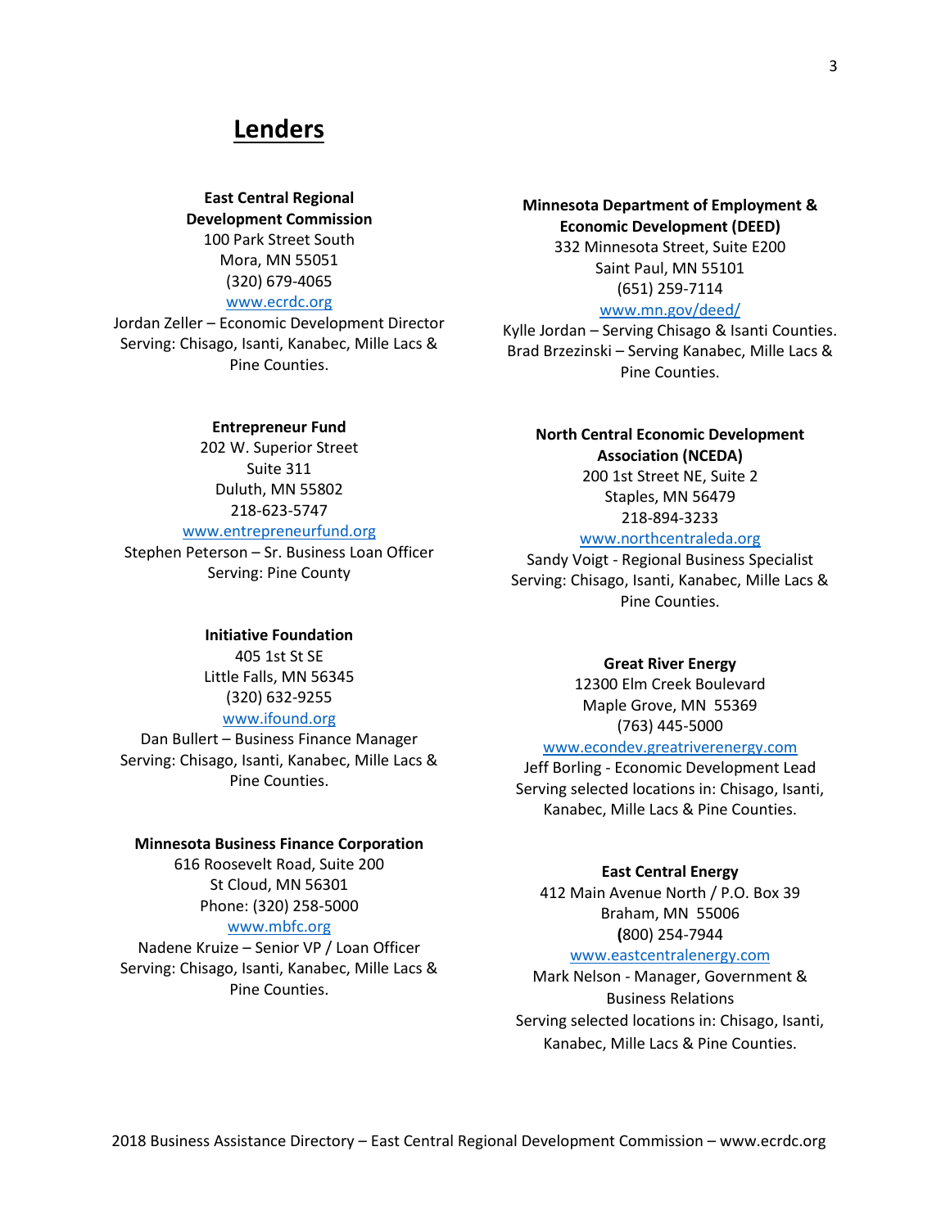### **Lenders**

**East Central Regional Development Commission** 100 Park Street South Mora, MN 55051 (320) 679-4065

#### [www.ecrdc.org](http://www.ecrdc.org/)

Jordan Zeller – Economic Development Director Serving: Chisago, Isanti, Kanabec, Mille Lacs & Pine Counties.

**Entrepreneur Fund** 202 W. Superior Street Suite 311 Duluth, MN 55802 218-623-5747 [www.entrepreneurfund.org](http://www.entrepreneurfund.org/) Stephen Peterson – Sr. Business Loan Officer Serving: Pine County

**Minnesota Department of Employment & Economic Development (DEED)** 332 Minnesota Street, Suite E200 Saint Paul, MN 55101 (651) 259-7114

#### [www.mn.gov/deed/](http://www.mn.gov/deed/)

Kylle Jordan – Serving Chisago & Isanti Counties. Brad Brzezinski – Serving Kanabec, Mille Lacs & Pine Counties.

#### **North Central Economic Development Association (NCEDA)**

200 1st Street NE, Suite 2 Staples, MN 56479 [218-894-3233](tel:2188943233)

#### [www.northcentraleda.org](http://www.northcentraleda.org/)

Sandy Voigt - Regional Business Specialist Serving: Chisago, Isanti, Kanabec, Mille Lacs & Pine Counties.

#### **Initiative Foundation**

405 1st St SE Little Falls, MN 56345 (320) 632-9255 [www.ifound.org](http://www.ifound.org/)

Dan Bullert – Business Finance Manager Serving: Chisago, Isanti, Kanabec, Mille Lacs & Pine Counties.

#### **Minnesota Business Finance Corporation**

616 Roosevelt Road, Suite 200 St Cloud, MN 56301 Phone: (320) 258-5000

#### [www.mbfc.org](http://www.mbfc.org/)

Nadene Kruize – Senior VP / Loan Officer Serving: Chisago, Isanti, Kanabec, Mille Lacs & Pine Counties.

#### **Great River Energy**

12300 Elm Creek Boulevard Maple Grove, MN 55369 (763) 445-5000

#### [www.econdev.greatriverenergy.com](http://www.econdev.greatriverenergy.com/)

Jeff Borling - Economic Development Lead Serving selected locations in: Chisago, Isanti, Kanabec, Mille Lacs & Pine Counties.

#### **East Central Energy**

412 Main Avenue North / P.O. Box 39 Braham, MN 55006 **(**800) 254-7944

#### [www.eastcentralenergy.com](http://www.eastcentralenergy.com/)

Mark Nelson - Manager, Government & Business Relations Serving selected locations in: Chisago, Isanti, Kanabec, Mille Lacs & Pine Counties.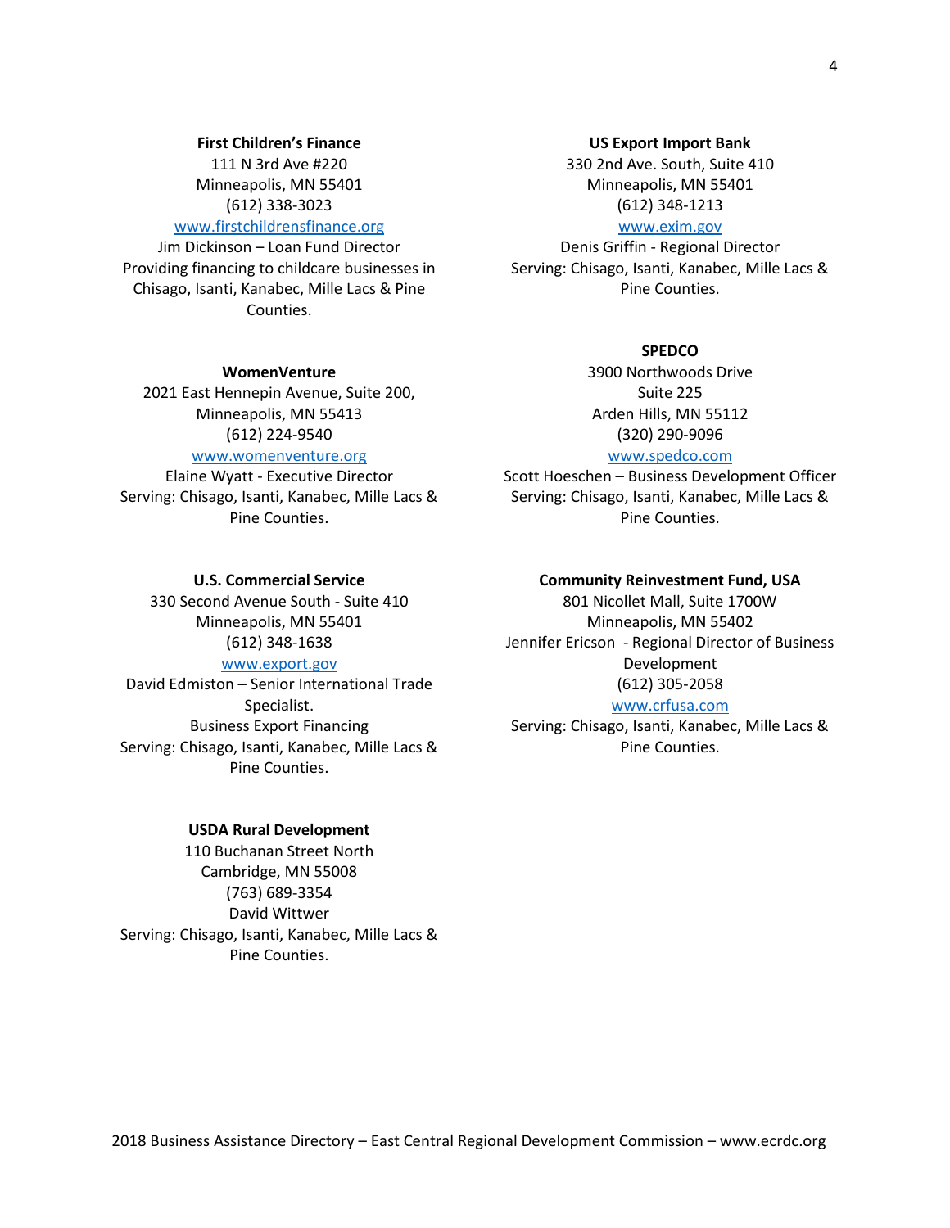#### 2018 Business Assistance Directory – East Central Regional Development Commission – www.ecrdc.org

#### **First Children's Finance**

111 N 3rd Ave #220 Minneapolis, MN 55401 [\(612\) 338-3023](javascript:void(0))

#### [www.firstchildrensfinance.org](http://www.firstchildrensfinance.org/)

Jim Dickinson – Loan Fund Director Providing financing to childcare businesses in Chisago, Isanti, Kanabec, Mille Lacs & Pine Counties.

#### **WomenVenture**

2021 East Hennepin Avenue, Suite 200, Minneapolis, MN 55413 (612) 224-9540

#### [www.womenventure.org](http://www.womenventure.org/)

Elaine Wyatt - Executive Director Serving: Chisago, Isanti, Kanabec, Mille Lacs & Pine Counties.

#### **US Export Import Bank**

330 2nd Ave. South, Suite 410 Minneapolis, MN 55401 (612) 348-1213 [www.exim.gov](http://www.exim.gov/)

Denis Griffin - Regional Director Serving: Chisago, Isanti, Kanabec, Mille Lacs & Pine Counties.

#### **SPEDCO**

3900 Northwoods Drive Suite 225 Arden Hills, MN 55112 (320) 290-9096

#### [www.spedco.com](http://www.spedco.com/)

Scott Hoeschen – Business Development Officer Serving: Chisago, Isanti, Kanabec, Mille Lacs & Pine Counties.

#### **Community Reinvestment Fund, USA**

801 Nicollet Mall, Suite 1700W Minneapolis, MN 55402 Jennifer Ericson - Regional Director of Business Development (612) 305-2058

#### [www.crfusa.com](http://www.crfusa.com/)

Serving: Chisago, Isanti, Kanabec, Mille Lacs & Pine Counties.

#### **U.S. Commercial Service**

330 Second Avenue South - Suite 410 Minneapolis, MN 55401 (612) 348-1638 [www.export.gov](http://www.export.gov/)

[David Edmiston](http://export.gov/minnesota/contactus/davidedmiston/index.asp) – Senior International Trade Specialist. Business Export Financing Serving: Chisago, Isanti, Kanabec, Mille Lacs & Pine Counties.

#### **USDA Rural Development**

110 Buchanan Street North Cambridge, MN 55008 (763) 689-3354 David Wittwer Serving: Chisago, Isanti, Kanabec, Mille Lacs & Pine Counties.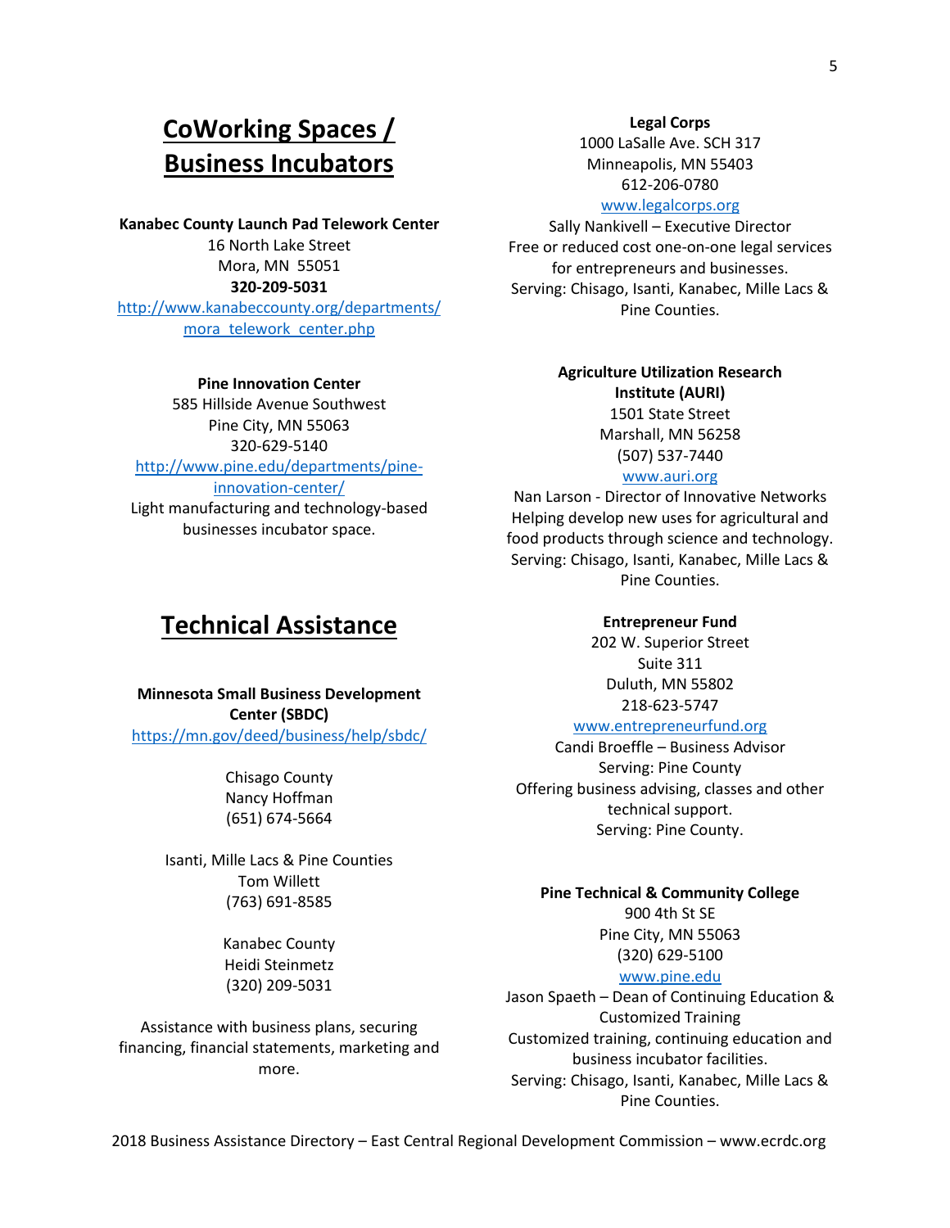# **CoWorking Spaces / Business Incubators**

**Kanabec County Launch Pad Telework Center** 16 North Lake Street Mora, MN 55051 **320-209-5031** http://www.kanabeccounty.org/departments/

mora\_telework\_center.php

#### **Pine Innovation Center**

585 Hillside Avenue Southwest Pine City, MN 55063 320-629-5140 http://www.pine.edu/departments/pineinnovation-center/ Light manufacturing and technology-based businesses incubator space.

### **Technical Assistance**

**Minnesota Small Business Development Center (SBDC)** <https://mn.gov/deed/business/help/sbdc/>

> Chisago County Nancy Hoffman (651) 674-5664

Isanti, Mille Lacs & Pine Counties Tom Willett (763) 691-8585

> Kanabec County Heidi Steinmetz (320) 209-5031

Assistance with business plans, securing financing, financial statements, marketing and more.

#### **Legal Corps**

1000 LaSalle Ave. SCH 317 Minneapolis, MN 55403 612-206-0780 [www.legalcorps.org](http://www.legalcorps.org/)

Sally Nankivell – Executive Director Free or reduced cost one-on-one legal services for entrepreneurs and businesses. Serving: Chisago, Isanti, Kanabec, Mille Lacs & Pine Counties.

### **Agriculture Utilization Research Institute (AURI)**

1501 State Street Marshall, MN 56258 (507) 537-7440

#### [www.auri.org](http://www.auri.org/)

Nan Larson - Director of Innovative Networks Helping develop new uses for agricultural and food products through science and technology. Serving: Chisago, Isanti, Kanabec, Mille Lacs & Pine Counties.

#### **Entrepreneur Fund**

202 W. Superior Street Suite 311 Duluth, MN 55802 218-623-5747

#### [www.entrepreneurfund.org](http://www.entrepreneurfund.org/)

Candi Broeffle – Business Advisor Serving: Pine County Offering business advising, classes and other technical support. Serving: Pine County.

#### **Pine Technical & Community College**

900 4th St SE Pine City, MN 55063 [\(320\) 629-5100](javascript:void(0))

### [www.pine.edu](http://www.pine.edu/)

Jason Spaeth – Dean of Continuing Education & Customized Training Customized training, continuing education and business incubator facilities. Serving: Chisago, Isanti, Kanabec, Mille Lacs & Pine Counties.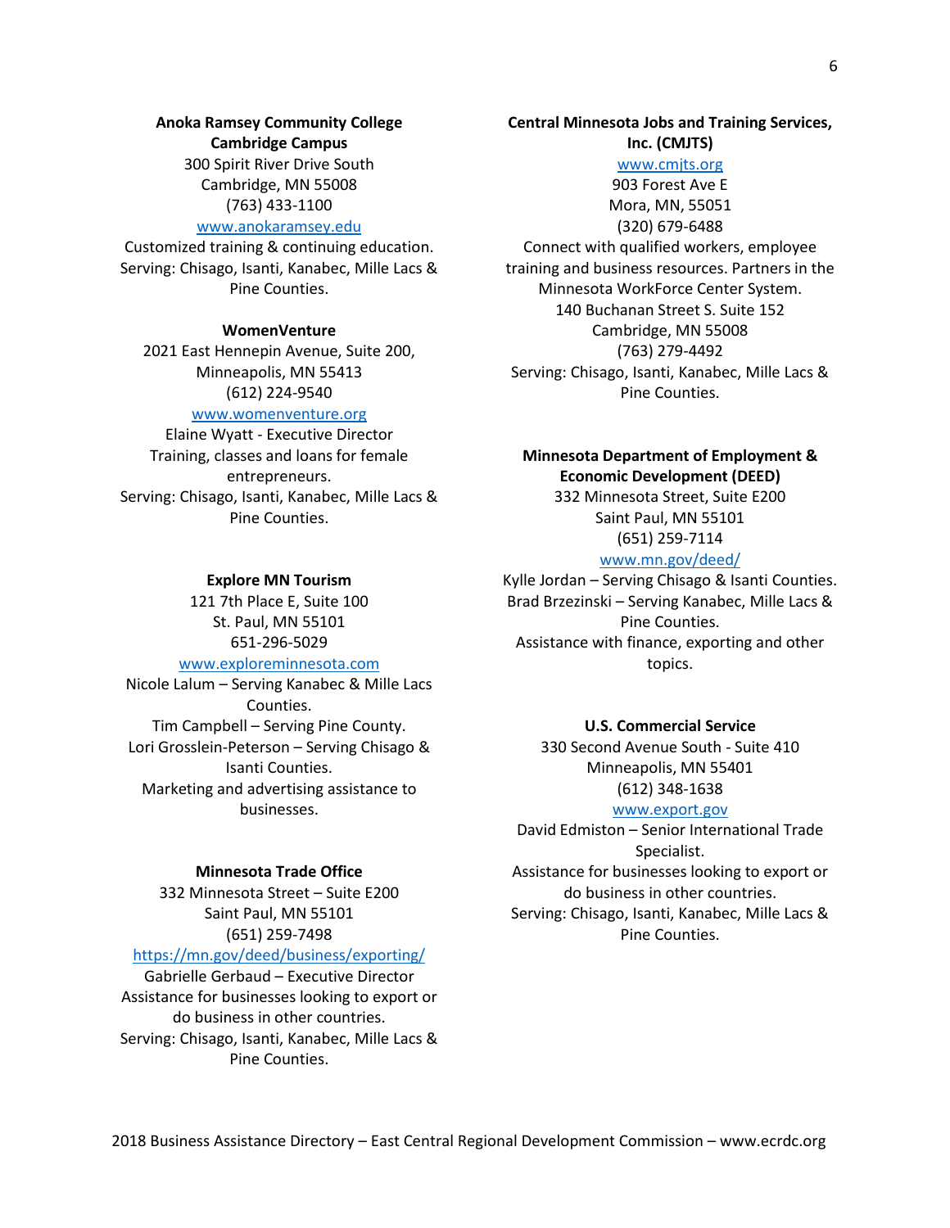#### **Anoka Ramsey Community College**

#### **Cambridge Campus**

300 Spirit River Drive South Cambridge, MN 55008 [\(763\) 433-1100](javascript:void(0))

#### [www.anokaramsey.edu](http://www.anokaramsey.edu/)

Customized training & continuing education. Serving: Chisago, Isanti, Kanabec, Mille Lacs & Pine Counties.

#### **WomenVenture**

2021 East Hennepin Avenue, Suite 200, Minneapolis, MN 55413 (612) 224-9540

#### [www.womenventure.org](http://www.womenventure.org/)

Elaine Wyatt - Executive Director Training, classes and loans for female entrepreneurs. Serving: Chisago, Isanti, Kanabec, Mille Lacs & Pine Counties.

#### **Explore MN Tourism**

121 7th Place E, Suite 100 St. Paul, MN 55101 [651-296-5029](tel:1-651-296-5029) [www.exploreminnesota.com](http://www.exploreminnesota.com/) Nicole Lalum – Serving Kanabec & Mille Lacs

Counties. Tim Campbell – Serving Pine County. Lori Grosslein-Peterson – Serving Chisago & Isanti Counties. Marketing and advertising assistance to businesses.

#### **Minnesota Trade Office**

332 Minnesota Street – Suite E200 Saint Paul, MN 55101 (651) 259-7498

#### <https://mn.gov/deed/business/exporting/>

[Gabrielle Gerbaud](mailto:gabrielle.gerbaud@state.mn.us) – Executive Director Assistance for businesses looking to export or do business in other countries. Serving: Chisago, Isanti, Kanabec, Mille Lacs & Pine Counties.

#### **Central Minnesota Jobs and Training Services,**

**Inc. (CMJTS)**

#### [www.cmjts.org](http://www.cmjts.org/)

903 Forest Ave E Mora, MN, 55051 (320) 679-6488 Connect with qualified workers, employee training and business resources. Partners in the Minnesota WorkForce Center System. 140 Buchanan Street S. Suite 152 Cambridge, MN 55008 (763) 279-4492 Serving: Chisago, Isanti, Kanabec, Mille Lacs & Pine Counties.

#### **Minnesota Department of Employment & Economic Development (DEED)**

332 Minnesota Street, Suite E200 Saint Paul, MN 55101 (651) 259-7114

#### [www.mn.gov/deed/](http://www.mn.gov/deed/)

Kylle Jordan – Serving Chisago & Isanti Counties. Brad Brzezinski – Serving Kanabec, Mille Lacs & Pine Counties. Assistance with finance, exporting and other topics.

#### **U.S. Commercial Service**

330 Second Avenue South - Suite 410 Minneapolis, MN 55401 (612) 348-1638

#### [www.export.gov](http://www.export.gov/)

[David Edmiston](http://export.gov/minnesota/contactus/davidedmiston/index.asp) – Senior International Trade Specialist. Assistance for businesses looking to export or do business in other countries. Serving: Chisago, Isanti, Kanabec, Mille Lacs & Pine Counties.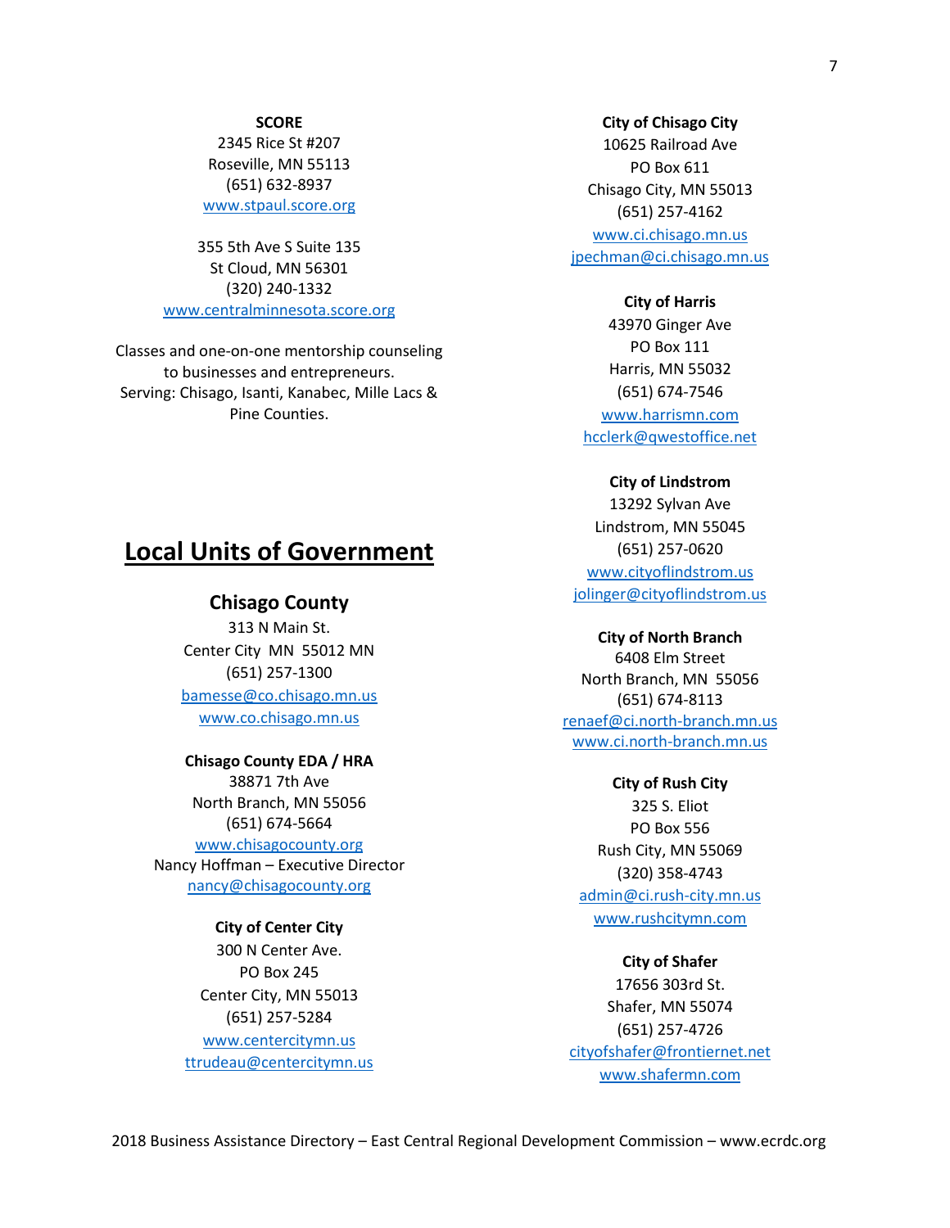#### **SCORE**

2345 Rice St #207 Roseville, MN 55113 [\(651\) 632-8937](javascript:void(0)) [www.stpaul.score.org](http://www.stpaul.score.org/)

355 5th Ave S Suite 135 St Cloud, MN 56301 [\(320\) 240-1332](javascript:void(0)) [www.centralminnesota.score.org](http://www.centralminnesota.score.org/)

Classes and one-on-one mentorship counseling to businesses and entrepreneurs. Serving: Chisago, Isanti, Kanabec, Mille Lacs & Pine Counties.

#### **City of Chisago City**

10625 Railroad Ave PO Box 611 Chisago City, MN 55013 (651) 257-4162

[www.ci.chisago.mn.us](http://www.ci.chisago.mn.us/) [jpechman@ci.chisago.mn.us](mailto:jpechman@ci.chisago.mn.us)

#### **City of Harris**

43970 Ginger Ave PO Box 111 Harris, MN 55032 (651) 674-7546 [www.harrismn.com](http://www.harrismn.com/) [hcclerk@qwestoffice.net](mailto:hcclerk@qwestoffice.net)

#### **City of Lindstrom**

13292 Sylvan Ave Lindstrom, MN 55045 (651) 257-0620 [www.cityoflindstrom.us](http://www.cityoflindstrom.us/) [jolinger@cityoflindstrom.us](mailto:jolinger@cityoflindstrom.us)

#### **City of North Branch**

6408 Elm Street North Branch, MN 55056 (651) 674-8113 [renaef@ci.north-branch.mn.us](mailto:renaef@ci.north-branch.mn.us) [www.ci.north-branch.mn.us](http://www.ci.north-branch.mn.us/)

#### **City of Rush City**

325 S. Eliot PO Box 556 Rush City, MN 55069 (320) 358-4743 [admin@ci.rush-city.mn.us](mailto:admin@ci.rush-city.mn.us) www.rushcitymn.com

#### **City of Shafer**

17656 303rd St. Shafer, MN 55074 (651) 257-4726 [cityofshafer@frontiernet.net](mailto:cityofshafer@frontiernet.net) www.shafermn.com

### **Local Units of Government**

#### **Chisago County**

313 N Main St. Center City MN 55012 MN (651) 257-1300 [bamesse@co.chisago.mn.us](mailto:bamesse@co.chisago.mn.us) www.co.chisago.mn.us

#### **Chisago County EDA / HRA**

38871 7th Ave North Branch, MN 55056 (651) 674-5664 [www.chisagocounty.org](http://www.chisagocounty.org/) Nancy Hoffman – Executive Director [nancy@chisagocounty.org](mailto:nancy@chisagocounty.org)

#### **City of Center City**

300 N Center Ave. PO Box 245 Center City, MN 55013 (651) 257-5284 [www.centercitymn.us](http://www.centercitymn.us/) [ttrudeau@centercitymn.us](mailto:ttrudeau@centercitymn.us)

2018 Business Assistance Directory – East Central Regional Development Commission – www.ecrdc.org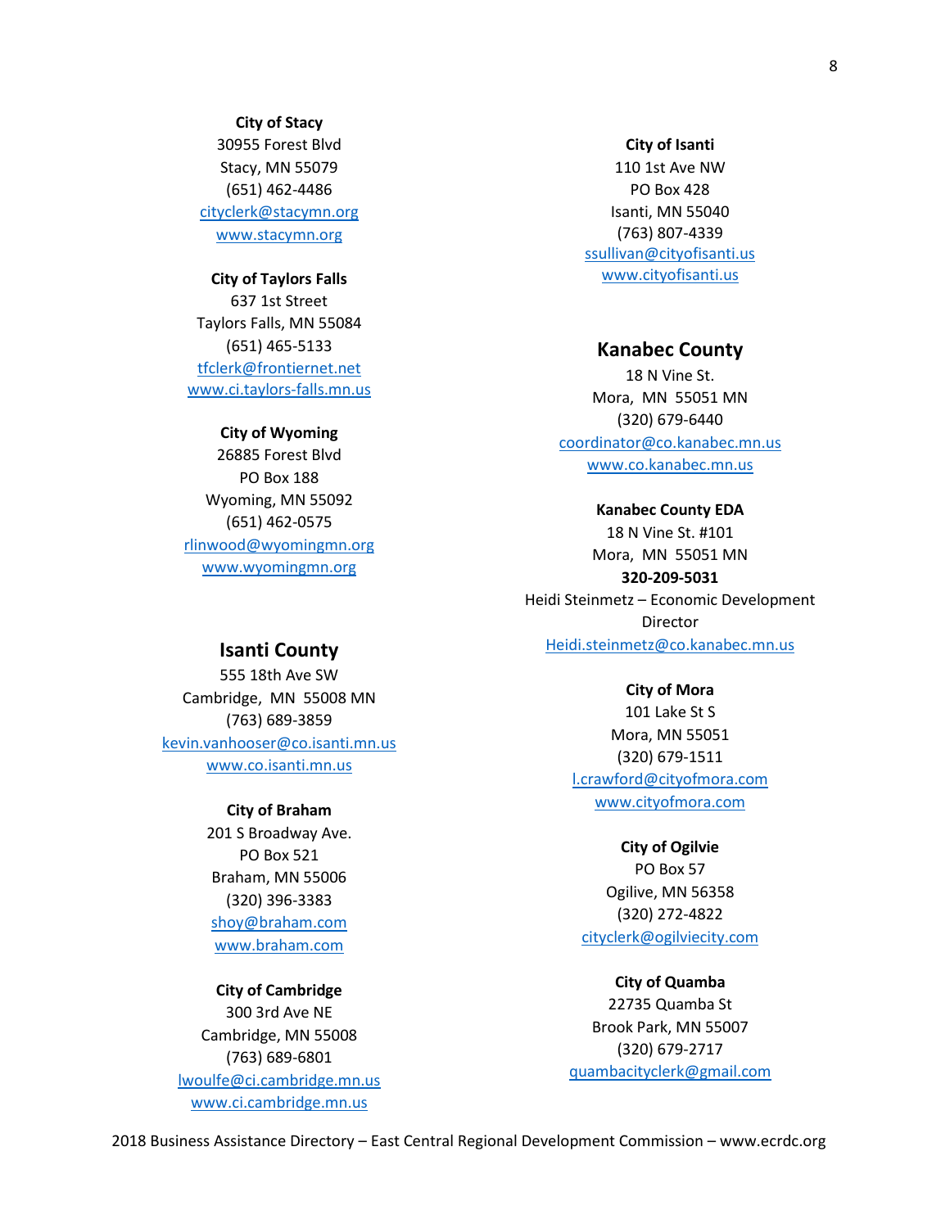**City of Stacy** 30955 Forest Blvd Stacy, MN 55079 (651) 462-4486 [cityclerk@stacymn.org](mailto:cityclerk@stacymn.org) www.stacymn.org

#### **City of Taylors Falls**

637 1st Street Taylors Falls, MN 55084 (651) 465-5133 [tfclerk@frontiernet.net](mailto:tfclerk@frontiernet.net) www.ci.taylors-falls.mn.us

#### **City of Wyoming**

26885 Forest Blvd PO Box 188 Wyoming, MN 55092 (651) 462-0575 [rlinwood@wyomingmn.org](mailto:rlinwood@wyomingmn.org) [www.wyomingmn.org](http://www.wyomingmn.org/)

#### **City of Isanti**

110 1st Ave NW PO Box 428 Isanti, MN 55040 (763) 807-4339 [ssullivan@cityofisanti.us](mailto:ssullivan@cityofisanti.us) www.cityofisanti.us

#### **Kanabec County**

18 N Vine St. Mora, MN 55051 MN (320) 679-6440 [coordinator@co.kanabec.mn.us](mailto:coordinator@co.kanabec.mn.us) www.co.kanabec.mn.us

### **Kanabec County EDA** 18 N Vine St. #101 Mora, MN 55051 MN **320-209-5031** Heidi Steinmetz – Economic Development Director [Heidi.steinmetz@co.kanabec.mn.us](mailto:Heidi.steinmetz@co.kanabec.mn.us)

#### **Isanti County**

555 18th Ave SW Cambridge, MN 55008 MN (763) 689-3859 [kevin.vanhooser@co.isanti.mn.us](mailto:kevin.vanhooser@co.isanti.mn.us) www.co.isanti.mn.us

#### **City of Braham**

201 S Broadway Ave. PO Box 521 Braham, MN 55006 (320) 396-3383 [shoy@braham.com](mailto:shoy@braham.com) www.braham.com

### **City of Cambridge**

300 3rd Ave NE Cambridge, MN 55008 (763) 689-6801 [lwoulfe@ci.cambridge.mn.us](mailto:lwoulfe@ci.cambridge.mn.us) www.ci.cambridge.mn.us

#### **City of Mora**

101 Lake St S Mora, MN 55051 (320) 679-1511 [l.crawford@cityofmora.com](mailto:l.crawford@cityofmora.com) www.cityofmora.com

#### **City of Ogilvie**

PO Box 57 Ogilive, MN 56358 (320) 272-4822 [cityclerk@ogilviecity.com](mailto:cityclerk@ogilviecity.com)

**City of Quamba** 22735 Quamba St Brook Park, MN 55007 (320) 679-2717 [quambacityclerk@gmail.com](mailto:quambacityclerk@gmail.com)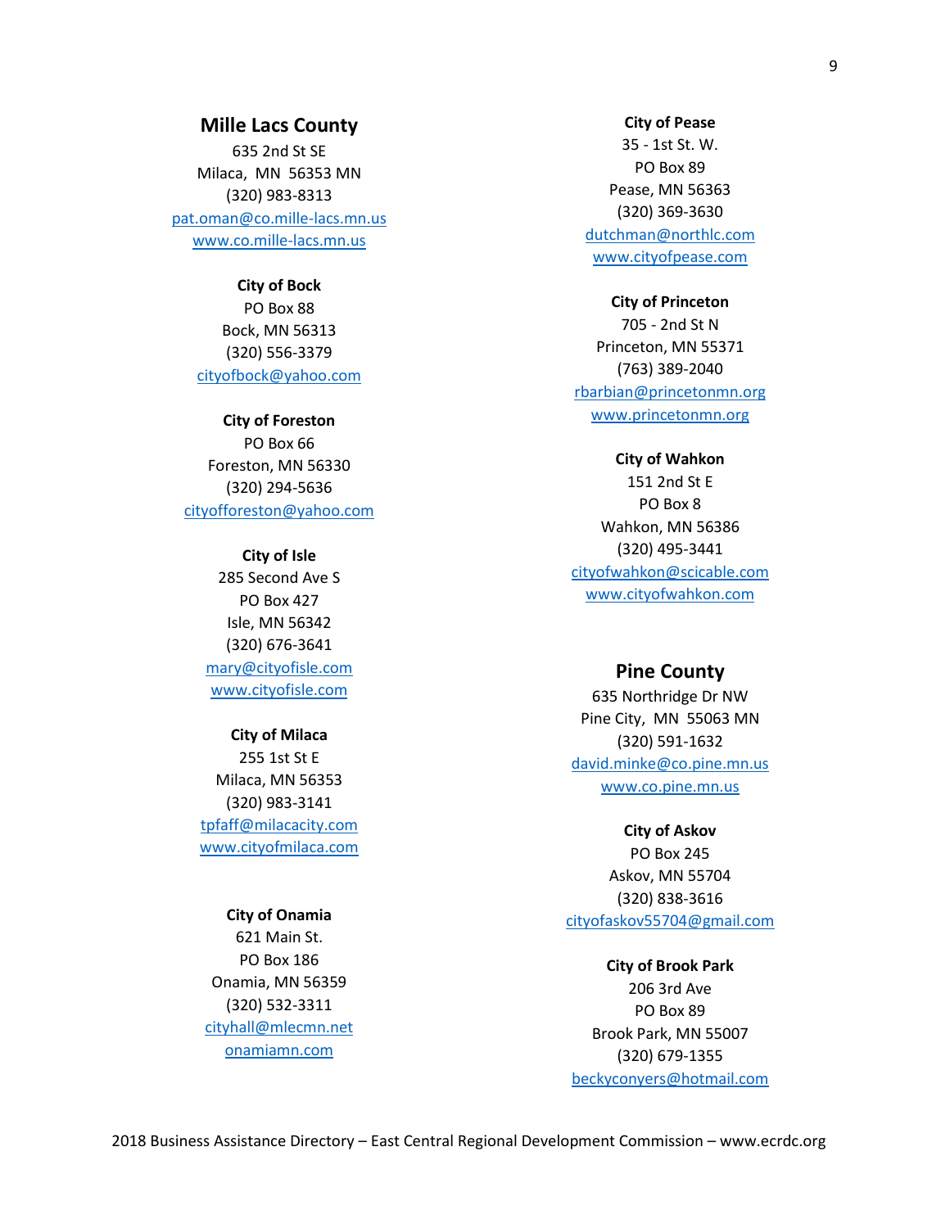#### **Mille Lacs County**

635 2nd St SE Milaca, MN 56353 MN (320) 983-8313 [pat.oman@co.mille-lacs.mn.us](mailto:pat.oman@co.mille-lacs.mn.us) www.co.mille-lacs.mn.us

> **City of Bock** PO Box 88 Bock, MN 56313 (320) 556-3379 [cityofbock@yahoo.com](mailto:cityofbock@yahoo.com)

**City of Foreston** PO Box 66 Foreston, MN 56330 (320) 294-5636 [cityofforeston@yahoo.com](mailto:cityofforeston@yahoo.com)

> **City of Isle** 285 Second Ave S PO Box 427 Isle, MN 56342 (320) 676-3641 [mary@cityofisle.com](mailto:mary@cityofisle.com) www.cityofisle.com

#### **City of Milaca**

255 1st St E Milaca, MN 56353 (320) 983-3141 [tpfaff@milacacity.com](mailto:tpfaff@milacacity.com) www.cityofmilaca.com

#### **City of Onamia**

621 Main St. PO Box 186 Onamia, MN 56359 (320) 532-3311 [cityhall@mlecmn.net](mailto:cityhall@mlecmn.net) onamiamn.com

#### **City of Pease**

35 - 1st St. W. PO Box 89 Pease, MN 56363 (320) 369-3630 [dutchman@northlc.com](mailto:dutchman@northlc.com) www.cityofpease.com

**City of Princeton**

705 - 2nd St N Princeton, MN 55371 (763) 389-2040 [rbarbian@princetonmn.org](mailto:rbarbian@princetonmn.org) www.princetonmn.org

**City of Wahkon**

151 2nd St E PO Box 8 Wahkon, MN 56386 (320) 495-3441 [cityofwahkon@scicable.com](mailto:cityofwahkon@scicable.com) www.cityofwahkon.com

#### **Pine County**

635 Northridge Dr NW Pine City, MN 55063 MN (320) 591-1632 [david.minke@co.pine.mn.us](mailto:david.minke@co.pine.mn.us) www.co.pine.mn.us

#### **City of Askov**

PO Box 245 Askov, MN 55704 (320) 838-3616 [cityofaskov55704@gmail.com](mailto:cityofaskov55704@gmail.com)

**City of Brook Park** 206 3rd Ave PO Box 89 Brook Park, MN 55007 (320) 679-1355 [beckyconyers@hotmail.com](mailto:beckyconyers@hotmail.com)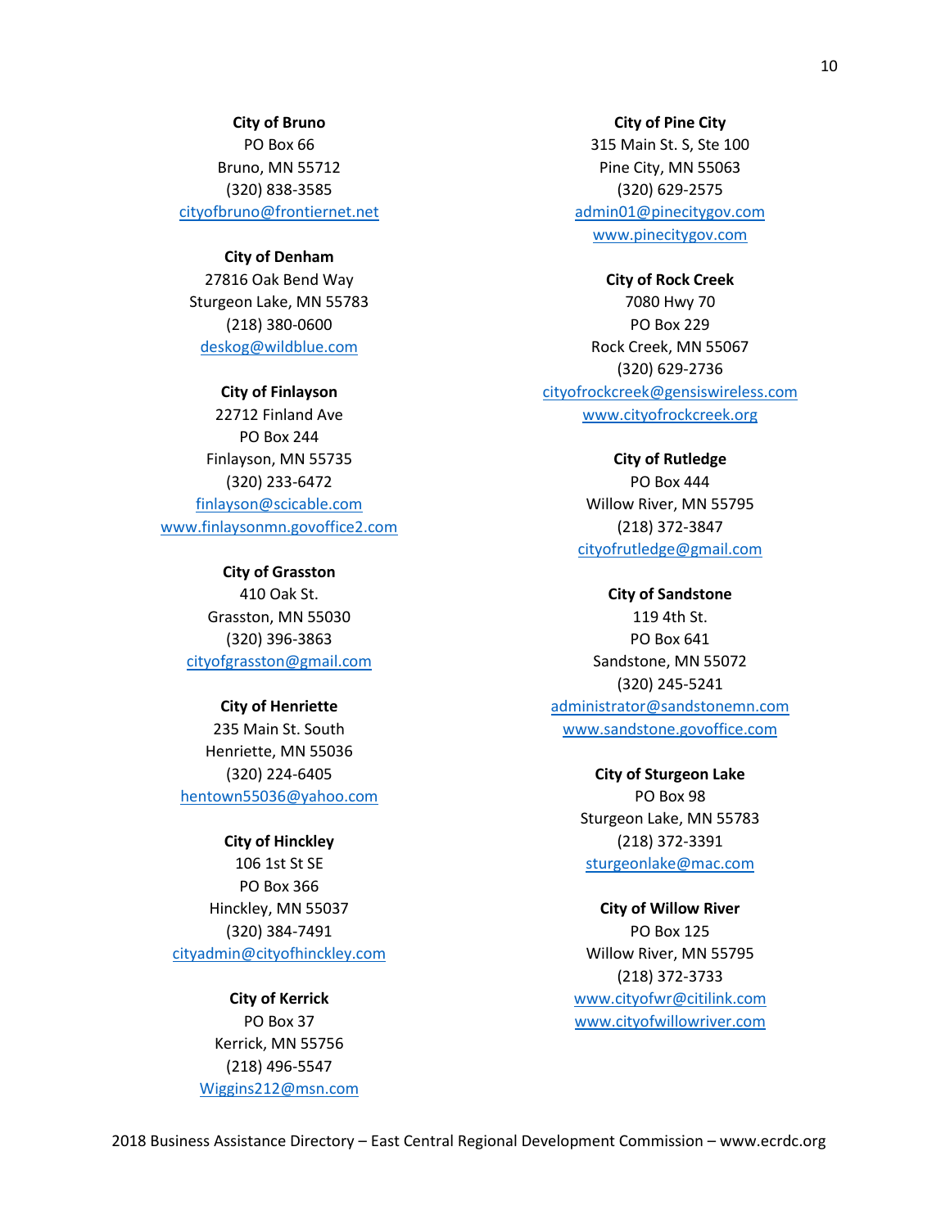**City of Bruno**

PO Box 66 Bruno, MN 55712 (320) 838-3585 [cityofbruno@frontiernet.net](mailto:cityofbruno@frontiernet.net)

**City of Denham**

27816 Oak Bend Way Sturgeon Lake, MN 55783 (218) 380-0600 [deskog@wildblue.com](mailto:deskog@wildblue.com)

**City of Finlayson** 22712 Finland Ave PO Box 244 Finlayson, MN 55735 (320) 233-6472 [finlayson@scicable.com](mailto:finlayson@scicable.com) www.finlaysonmn.govoffice2.com

> **City of Grasston** 410 Oak St. Grasston, MN 55030 (320) 396-3863 [cityofgrasston@gmail.com](mailto:cityofgrasston@gmail.com)

**City of Henriette** 235 Main St. South Henriette, MN 55036 (320) 224-6405 [hentown55036@yahoo.com](mailto:hentown55036@yahoo.com)

**City of Hinckley** 106 1st St SE PO Box 366 Hinckley, MN 55037 (320) 384-7491 [cityadmin@cityofhinckley.com](mailto:cityadmin@cityofhinckley.com)

> **City of Kerrick** PO Box 37 Kerrick, MN 55756 (218) 496-5547 [Wiggins212@msn.com](mailto:Wiggins212@msn.com)

**City of Pine City** 315 Main St. S, Ste 100 Pine City, MN 55063 (320) 629-2575 [admin01@pinecitygov.com](mailto:admin01@pinecitygov.com) www.pinecitygov.com

**City of Rock Creek** 7080 Hwy 70 PO Box 229 Rock Creek, MN 55067 (320) 629-2736 [cityofrockcreek@gensiswireless.com](mailto:cityofrockcreek@gensiswireless.com) www.cityofrockcreek.org

> **City of Rutledge** PO Box 444 Willow River, MN 55795 (218) 372-3847 [cityofrutledge@gmail.com](mailto:cityofrutledge@gmail.com)

**City of Sandstone** 119 4th St. PO Box 641 Sandstone, MN 55072 (320) 245-5241 [administrator@sandstonemn.com](mailto:administrator@sandstonemn.com) www.sandstone.govoffice.com

> **City of Sturgeon Lake** PO Box 98 Sturgeon Lake, MN 55783 (218) 372-3391 [sturgeonlake@mac.com](mailto:sturgeonlake@mac.com)

**City of Willow River** PO Box 125 Willow River, MN 55795 (218) 372-3733 [www.cityofwr@citilink.com](http://www.cityofwr@citilink.com) [www.cityofwillowriver.com](http://www.cityofwillowriver.com/)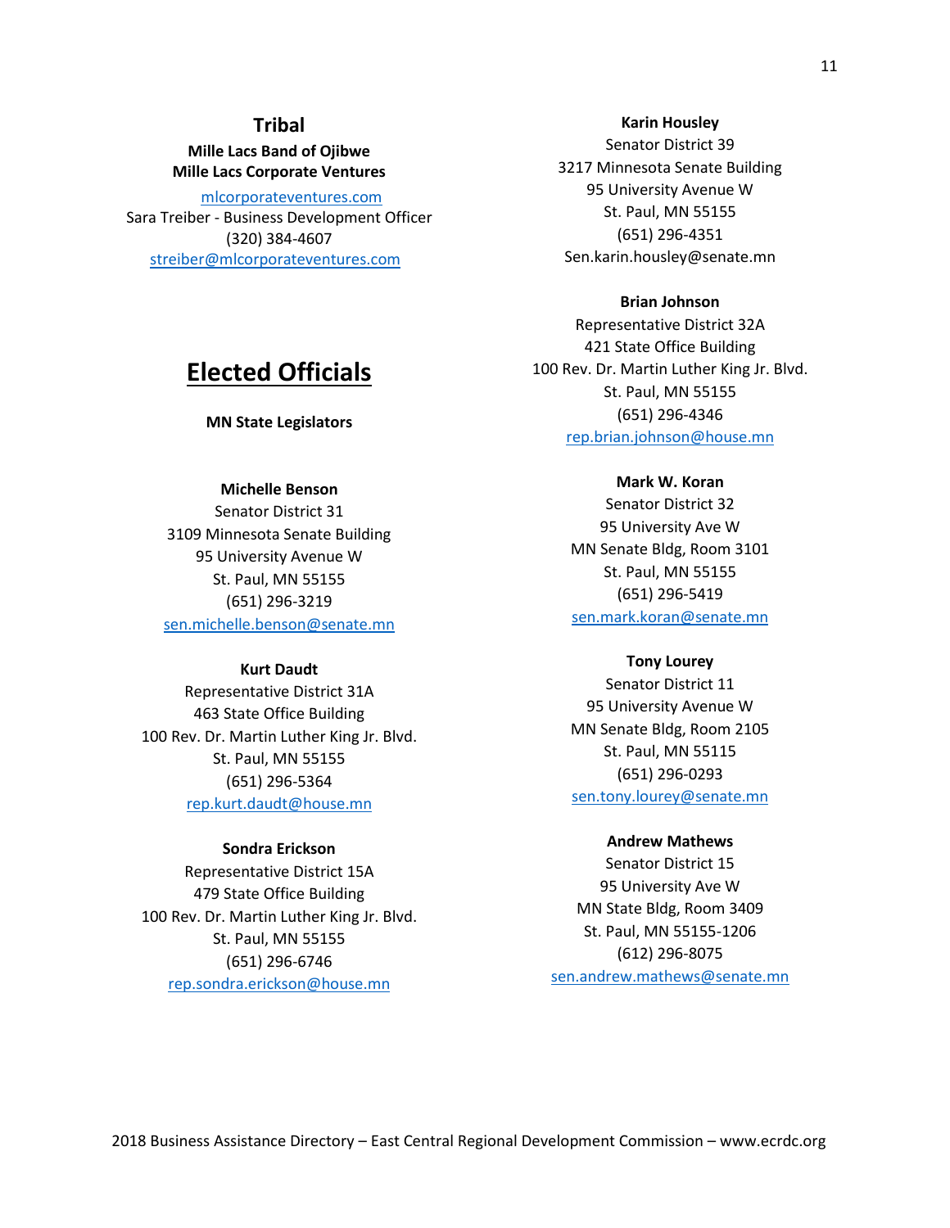### **Tribal**

**Mille Lacs Band of Ojibwe Mille Lacs Corporate Ventures**

[mlcorporateventures.com](http://www.mlcorporateventures.com/) Sara Treiber - Business Development Officer (320) 384-4607 [streiber@mlcorporateventures.com](mailto:streiber@mlcorporateventures.com)

## **Elected Officials**

**MN State Legislators**

#### **Michelle Benson**

Senator District 31 3109 Minnesota Senate Building 95 University Avenue W St. Paul, MN 55155 (651) 296-3219 [sen.michelle.benson@senate.mn](mailto:sen.michelle.benson@senate.mn)

#### **Kurt Daudt**

Representative District 31A 463 State Office Building 100 Rev. Dr. Martin Luther King Jr. Blvd. St. Paul, MN 55155 (651) 296-5364 [rep.kurt.daudt@house.mn](mailto:rep.kurt.daudt@house.mn)

#### **Sondra Erickson**

Representative District 15A 479 State Office Building 100 Rev. Dr. Martin Luther King Jr. Blvd. St. Paul, MN 55155 (651) 296-6746 [rep.sondra.erickson@house.mn](mailto:rep.sondra.erickson@house.mn)

Senator District 39 3217 Minnesota Senate Building 95 University Avenue W St. Paul, MN 55155 (651) 296-4351 Sen.karin.housley@senate.mn

#### **Brian Johnson**

Representative District 32A 421 State Office Building 100 Rev. Dr. Martin Luther King Jr. Blvd. St. Paul, MN 55155 (651) 296-4346 [rep.brian.johnson@house.mn](mailto:rep.brian.johnson@house.mn)

#### **Mark W. Koran**

Senator District 32 95 University Ave W MN Senate Bldg, Room 3101 St. Paul, MN 55155 (651) 296-5419 [sen.mark.koran@senate.mn](mailto:sen.mark.koran@senate.mn)

#### **Tony Lourey**

Senator District 11 95 University Avenue W MN Senate Bldg, Room 2105 St. Paul, MN 55115 (651) 296-0293 [sen.tony.lourey@senate.mn](mailto:sen.tony.lourey@senate.mn)

#### **Andrew Mathews**

Senator District 15 95 University Ave W MN State Bldg, Room 3409 St. Paul, MN 55155-1206 (612) 296-8075 [sen.andrew.mathews@senate.mn](mailto:sen.andrew.mathews@senate.mn)